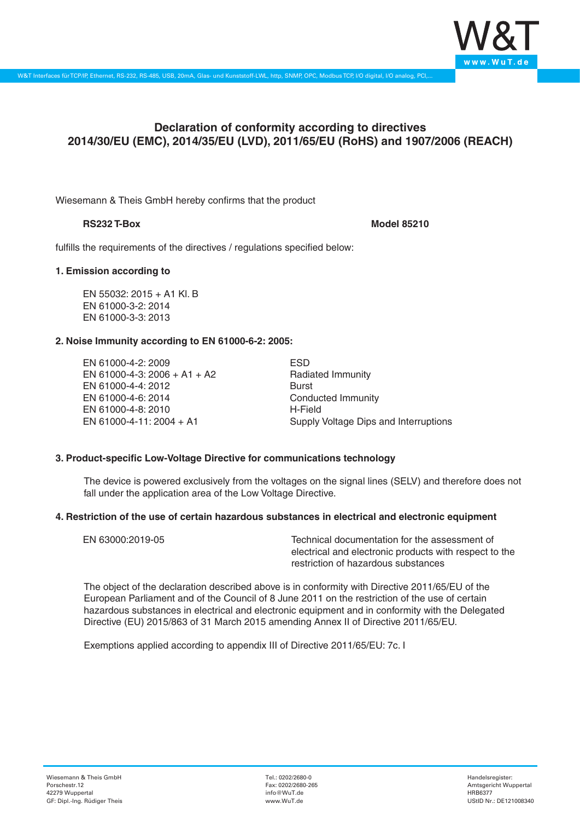

# **Declaration of conformity according to directives 2014/30/EU (EMC), 2014/35/EU (LVD), 2011/65/EU (RoHS) and 1907/2006 (REACH)**

Wiesemann & Theis GmbH hereby confirms that the product

# **RS232 T-Box Model 85210**

fulfills the requirements of the directives / regulations specified below:

# **1. Emission according to**

EN 55032: 2015 + A1 Kl. B EN 61000-3-2: 2014 EN 61000-3-3: 2013

# **2. Noise Immunity according to EN 61000-6-2: 2005:**

EN 61000-4-2: 2009 EN 61000-4-3: 2006 + A1 + A2 EN 61000-4-4: 2012 EN 61000-4-6: 2014 EN 61000-4-8: 2010 EN 61000-4-11: 2004 + A1

ESD Radiated Immunity Burst Conducted Immunity H-Field Supply Voltage Dips and Interruptions

# **3. Product-specific Low-Voltage Directive for communications technology**

The device is powered exclusively from the voltages on the signal lines (SELV) and therefore does not fall under the application area of the Low Voltage Directive.

## **4. Restriction of the use of certain hazardous substances in electrical and electronic equipment**

| EN 63000:2019-05 | Technical documentation for the assessment of          |
|------------------|--------------------------------------------------------|
|                  | electrical and electronic products with respect to the |
|                  | restriction of hazardous substances                    |

The object of the declaration described above is in conformity with Directive 2011/65/EU of the European Parliament and of the Council of 8 June 2011 on the restriction of the use of certain hazardous substances in electrical and electronic equipment and in conformity with the Delegated Directive (EU) 2015/863 of 31 March 2015 amending Annex II of Directive 2011/65/EU.

Exemptions applied according to appendix III of Directive 2011/65/EU: 7c. I